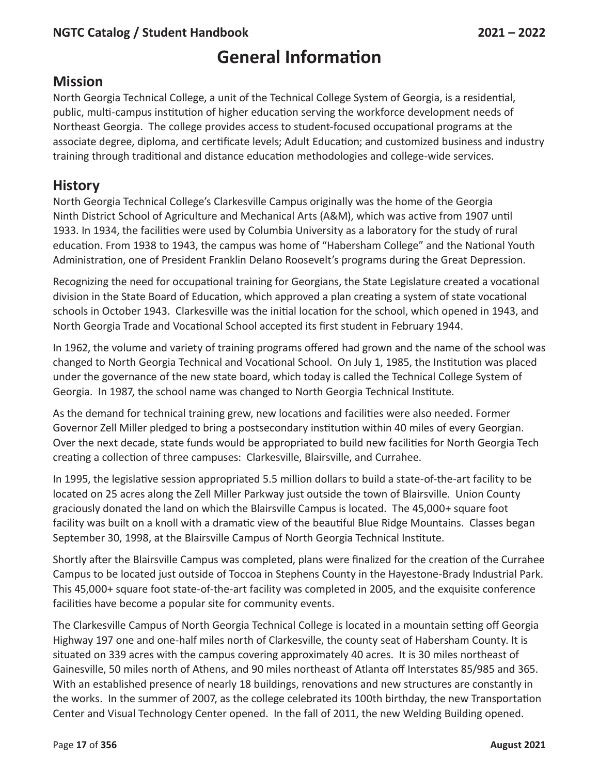# **General Information**

#### **Mission**

North Georgia Technical College, a unit of the Technical College System of Georgia, is a residential, public, multi-campus institution of higher education serving the workforce development needs of Northeast Georgia. The college provides access to student-focused occupational programs at the associate degree, diploma, and certificate levels; Adult Education; and customized business and industry training through traditional and distance education methodologies and college-wide services.

#### **History**

North Georgia Technical College's Clarkesville Campus originally was the home of the Georgia Ninth District School of Agriculture and Mechanical Arts (A&M), which was active from 1907 until 1933. In 1934, the facilities were used by Columbia University as a laboratory for the study of rural education. From 1938 to 1943, the campus was home of "Habersham College" and the National Youth Administration, one of President Franklin Delano Roosevelt's programs during the Great Depression.

Recognizing the need for occupational training for Georgians, the State Legislature created a vocational division in the State Board of Education, which approved a plan creating a system of state vocational schools in October 1943. Clarkesville was the initial location for the school, which opened in 1943, and North Georgia Trade and Vocational School accepted its first student in February 1944.

In 1962, the volume and variety of training programs offered had grown and the name of the school was changed to North Georgia Technical and Vocational School. On July 1, 1985, the Institution was placed under the governance of the new state board, which today is called the Technical College System of Georgia. In 1987, the school name was changed to North Georgia Technical Institute.

As the demand for technical training grew, new locations and facilities were also needed. Former Governor Zell Miller pledged to bring a postsecondary institution within 40 miles of every Georgian. Over the next decade, state funds would be appropriated to build new facilities for North Georgia Tech creating a collection of three campuses: Clarkesville, Blairsville, and Currahee.

In 1995, the legislative session appropriated 5.5 million dollars to build a state-of-the-art facility to be located on 25 acres along the Zell Miller Parkway just outside the town of Blairsville. Union County graciously donated the land on which the Blairsville Campus is located. The 45,000+ square foot facility was built on a knoll with a dramatic view of the beautiful Blue Ridge Mountains. Classes began September 30, 1998, at the Blairsville Campus of North Georgia Technical Institute.

Shortly after the Blairsville Campus was completed, plans were finalized for the creation of the Currahee Campus to be located just outside of Toccoa in Stephens County in the Hayestone-Brady Industrial Park. This 45,000+ square foot state-of-the-art facility was completed in 2005, and the exquisite conference facilities have become a popular site for community events.

The Clarkesville Campus of North Georgia Technical College is located in a mountain setting off Georgia Highway 197 one and one-half miles north of Clarkesville, the county seat of Habersham County. It is situated on 339 acres with the campus covering approximately 40 acres. It is 30 miles northeast of Gainesville, 50 miles north of Athens, and 90 miles northeast of Atlanta off Interstates 85/985 and 365. With an established presence of nearly 18 buildings, renovations and new structures are constantly in the works. In the summer of 2007, as the college celebrated its 100th birthday, the new Transportation Center and Visual Technology Center opened. In the fall of 2011, the new Welding Building opened.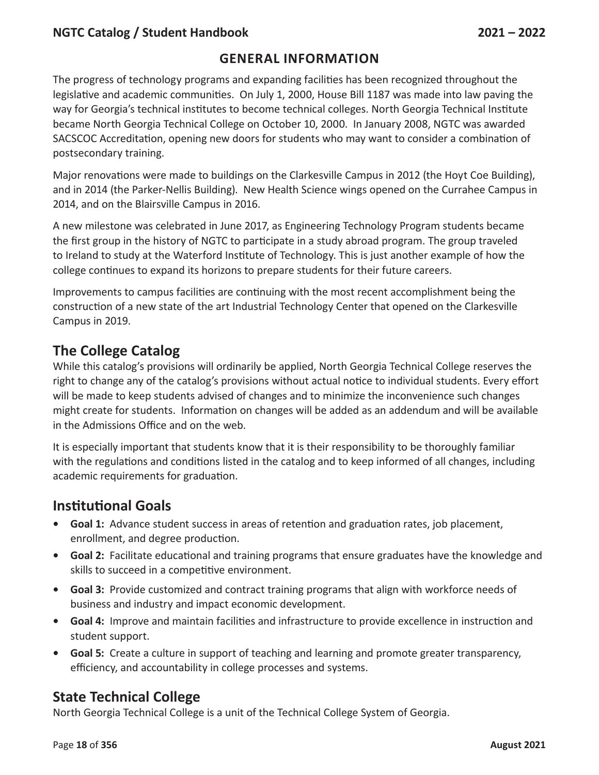#### **GENERAL INFORMATION**

The progress of technology programs and expanding facilities has been recognized throughout the legislative and academic communities. On July 1, 2000, House Bill 1187 was made into law paving the way for Georgia's technical institutes to become technical colleges. North Georgia Technical Institute became North Georgia Technical College on October 10, 2000. In January 2008, NGTC was awarded SACSCOC Accreditation, opening new doors for students who may want to consider a combination of postsecondary training.

Major renovations were made to buildings on the Clarkesville Campus in 2012 (the Hoyt Coe Building), and in 2014 (the Parker-Nellis Building). New Health Science wings opened on the Currahee Campus in 2014, and on the Blairsville Campus in 2016.

A new milestone was celebrated in June 2017, as Engineering Technology Program students became the first group in the history of NGTC to participate in a study abroad program. The group traveled to Ireland to study at the Waterford Institute of Technology. This is just another example of how the college continues to expand its horizons to prepare students for their future careers.

Improvements to campus facilities are continuing with the most recent accomplishment being the construction of a new state of the art Industrial Technology Center that opened on the Clarkesville Campus in 2019.

# **The College Catalog**

While this catalog's provisions will ordinarily be applied, North Georgia Technical College reserves the right to change any of the catalog's provisions without actual notice to individual students. Every effort will be made to keep students advised of changes and to minimize the inconvenience such changes might create for students. Information on changes will be added as an addendum and will be available in the Admissions Office and on the web.

It is especially important that students know that it is their responsibility to be thoroughly familiar with the regulations and conditions listed in the catalog and to keep informed of all changes, including academic requirements for graduation.

# **Institutional Goals**

- **• Goal 1:** Advance student success in areas of retention and graduation rates, job placement, enrollment, and degree production.
- **• Goal 2:** Facilitate educational and training programs that ensure graduates have the knowledge and skills to succeed in a competitive environment.
- **• Goal 3:** Provide customized and contract training programs that align with workforce needs of business and industry and impact economic development.
- **• Goal 4:** Improve and maintain facilities and infrastructure to provide excellence in instruction and student support.
- **• Goal 5:** Create a culture in support of teaching and learning and promote greater transparency, efficiency, and accountability in college processes and systems.

# **State Technical College**

North Georgia Technical College is a unit of the Technical College System of Georgia.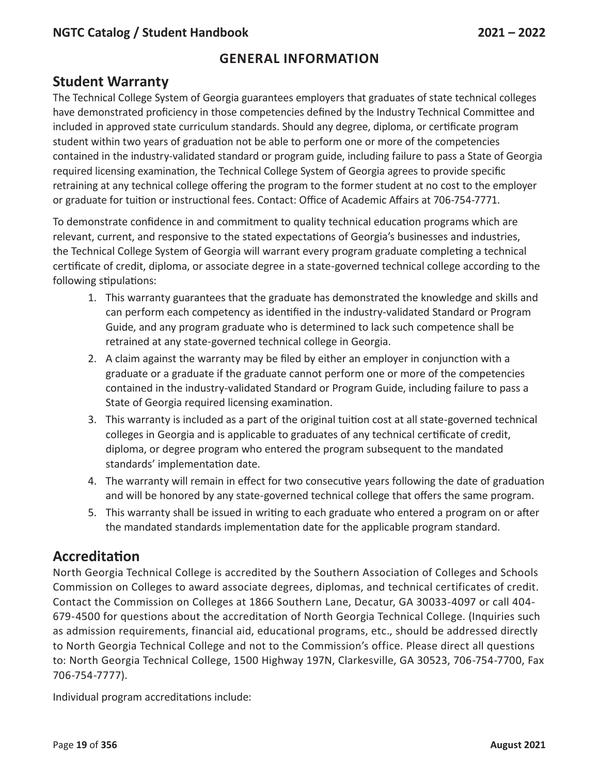#### **Student Warranty**

The Technical College System of Georgia guarantees employers that graduates of state technical colleges have demonstrated proficiency in those competencies defined by the Industry Technical Committee and included in approved state curriculum standards. Should any degree, diploma, or certificate program student within two years of graduation not be able to perform one or more of the competencies contained in the industry-validated standard or program guide, including failure to pass a State of Georgia required licensing examination, the Technical College System of Georgia agrees to provide specific retraining at any technical college offering the program to the former student at no cost to the employer or graduate for tuition or instructional fees. Contact: Office of Academic Affairs at 706-754-7771.

To demonstrate confidence in and commitment to quality technical education programs which are relevant, current, and responsive to the stated expectations of Georgia's businesses and industries, the Technical College System of Georgia will warrant every program graduate completing a technical certificate of credit, diploma, or associate degree in a state-governed technical college according to the following stipulations:

- 1. This warranty guarantees that the graduate has demonstrated the knowledge and skills and can perform each competency as identified in the industry-validated Standard or Program Guide, and any program graduate who is determined to lack such competence shall be retrained at any state-governed technical college in Georgia.
- 2. A claim against the warranty may be filed by either an employer in conjunction with a graduate or a graduate if the graduate cannot perform one or more of the competencies contained in the industry-validated Standard or Program Guide, including failure to pass a State of Georgia required licensing examination.
- 3. This warranty is included as a part of the original tuition cost at all state-governed technical colleges in Georgia and is applicable to graduates of any technical certificate of credit, diploma, or degree program who entered the program subsequent to the mandated standards' implementation date.
- 4. The warranty will remain in effect for two consecutive years following the date of graduation and will be honored by any state-governed technical college that offers the same program.
- 5. This warranty shall be issued in writing to each graduate who entered a program on or after the mandated standards implementation date for the applicable program standard.

# **Accreditation**

North Georgia Technical College is accredited by the Southern Association of Colleges and Schools Commission on Colleges to award associate degrees, diplomas, and technical certificates of credit. Contact the Commission on Colleges at 1866 Southern Lane, Decatur, GA 30033-4097 or call 404- 679-4500 for questions about the accreditation of North Georgia Technical College. (Inquiries such as admission requirements, financial aid, educational programs, etc., should be addressed directly to North Georgia Technical College and not to the Commission's office. Please direct all questions to: North Georgia Technical College, 1500 Highway 197N, Clarkesville, GA 30523, 706-754-7700, Fax 706-754-7777).

Individual program accreditations include: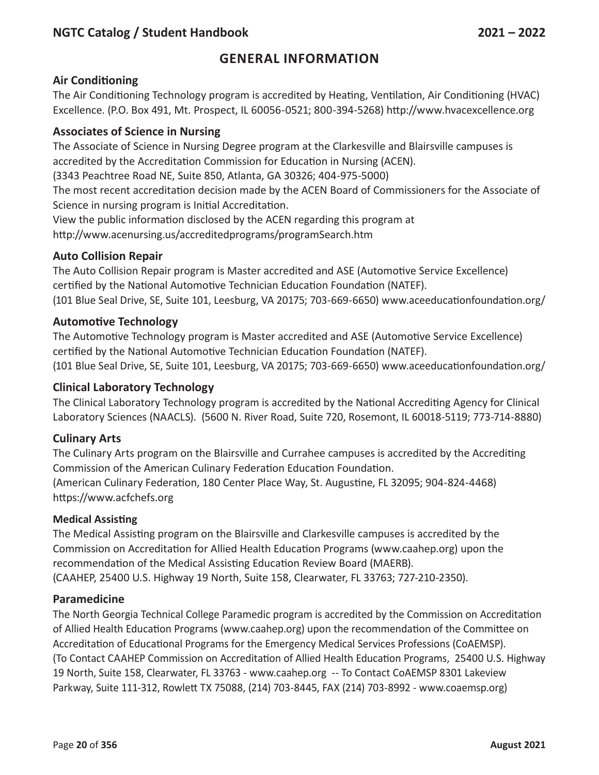#### **GENERAL INFORMATION**

#### **Air Conditioning**

The Air Conditioning Technology program is accredited by Heating, Ventilation, Air Conditioning (HVAC) Excellence. (P.O. Box 491, Mt. Prospect, IL 60056-0521; 800-394-5268) http://www.hvacexcellence.org

#### **Associates of Science in Nursing**

The Associate of Science in Nursing Degree program at the Clarkesville and Blairsville campuses is accredited by the Accreditation Commission for Education in Nursing (ACEN).

(3343 Peachtree Road NE, Suite 850, Atlanta, GA 30326; 404-975-5000)

The most recent accreditation decision made by the ACEN Board of Commissioners for the Associate of Science in nursing program is Initial Accreditation.

View the public information disclosed by the ACEN regarding this program at http://www.acenursing.us/accreditedprograms/programSearch.htm

#### **Auto Collision Repair**

The Auto Collision Repair program is Master accredited and ASE (Automotive Service Excellence) certified by the National Automotive Technician Education Foundation (NATEF). (101 Blue Seal Drive, SE, Suite 101, Leesburg, VA 20175; 703-669-6650) www.aceeducationfoundation.org/

#### **Automotive Technology**

The Automotive Technology program is Master accredited and ASE (Automotive Service Excellence) certified by the National Automotive Technician Education Foundation (NATEF). (101 Blue Seal Drive, SE, Suite 101, Leesburg, VA 20175; 703-669-6650) www.aceeducationfoundation.org/

#### **Clinical Laboratory Technology**

The Clinical Laboratory Technology program is accredited by the National Accrediting Agency for Clinical Laboratory Sciences (NAACLS). (5600 N. River Road, Suite 720, Rosemont, IL 60018-5119; 773-714-8880)

#### **Culinary Arts**

The Culinary Arts program on the Blairsville and Currahee campuses is accredited by the Accrediting Commission of the American Culinary Federation Education Foundation. (American Culinary Federation, 180 Center Place Way, St. Augustine, FL 32095; 904-824-4468) https://www.acfchefs.org

#### **Medical Assisting**

The Medical Assisting program on the Blairsville and Clarkesville campuses is accredited by the Commission on Accreditation for Allied Health Education Programs (www.caahep.org) upon the recommendation of the Medical Assisting Education Review Board (MAERB). (CAAHEP, 25400 U.S. Highway 19 North, Suite 158, Clearwater, FL 33763; 727-210-2350).

#### **Paramedicine**

The North Georgia Technical College Paramedic program is accredited by the Commission on Accreditation of Allied Health Education Programs (www.caahep.org) upon the recommendation of the Committee on Accreditation of Educational Programs for the Emergency Medical Services Professions (CoAEMSP). (To Contact CAAHEP Commission on Accreditation of Allied Health Education Programs, 25400 U.S. Highway 19 North, Suite 158, Clearwater, FL 33763 - www.caahep.org -- To Contact CoAEMSP 8301 Lakeview Parkway, Suite 111-312, Rowlett TX 75088, (214) 703-8445, FAX (214) 703-8992 - www.coaemsp.org)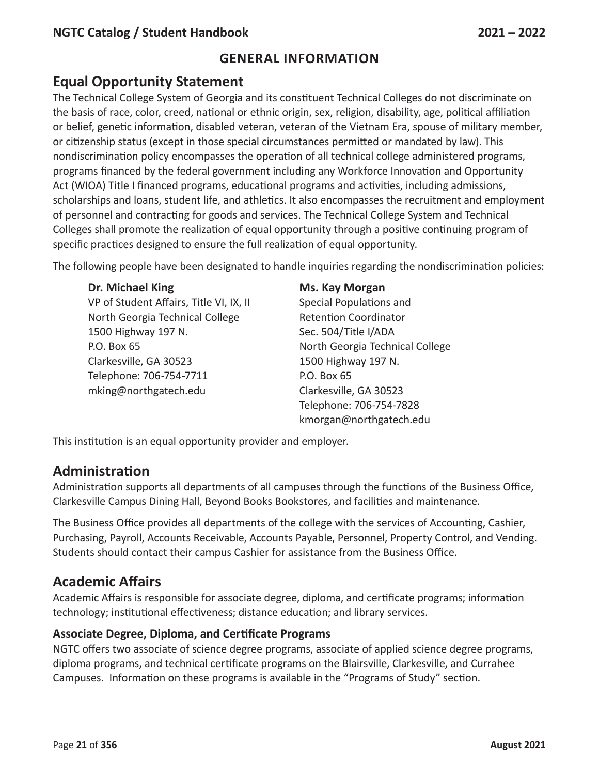# **Equal Opportunity Statement**

The Technical College System of Georgia and its constituent Technical Colleges do not discriminate on the basis of race, color, creed, national or ethnic origin, sex, religion, disability, age, political affiliation or belief, genetic information, disabled veteran, veteran of the Vietnam Era, spouse of military member, or citizenship status (except in those special circumstances permitted or mandated by law). This nondiscrimination policy encompasses the operation of all technical college administered programs, programs financed by the federal government including any Workforce Innovation and Opportunity Act (WIOA) Title I financed programs, educational programs and activities, including admissions, scholarships and loans, student life, and athletics. It also encompasses the recruitment and employment of personnel and contracting for goods and services. The Technical College System and Technical Colleges shall promote the realization of equal opportunity through a positive continuing program of specific practices designed to ensure the full realization of equal opportunity.

The following people have been designated to handle inquiries regarding the nondiscrimination policies:

#### **Dr. Michael King Ms. Kay Morgan**

VP of Student Affairs, Title VI, IX, II Special Populations and North Georgia Technical College Retention Coordinator 1500 Highway 197 N. Sec. 504/Title I/ADA P.O. Box 65 North Georgia Technical College Clarkesville, GA 30523 1500 Highway 197 N. Telephone: 706-754-7711 P.O. Box 65 mking@northgatech.edu Clarkesville, GA 30523

Telephone: 706-754-7828 kmorgan@northgatech.edu

This institution is an equal opportunity provider and employer.

#### **Administration**

Administration supports all departments of all campuses through the functions of the Business Office, Clarkesville Campus Dining Hall, Beyond Books Bookstores, and facilities and maintenance.

The Business Office provides all departments of the college with the services of Accounting, Cashier, Purchasing, Payroll, Accounts Receivable, Accounts Payable, Personnel, Property Control, and Vending. Students should contact their campus Cashier for assistance from the Business Office.

# **Academic Affairs**

Academic Affairs is responsible for associate degree, diploma, and certificate programs; information technology; institutional effectiveness; distance education; and library services.

#### **Associate Degree, Diploma, and Certificate Programs**

NGTC offers two associate of science degree programs, associate of applied science degree programs, diploma programs, and technical certificate programs on the Blairsville, Clarkesville, and Currahee Campuses. Information on these programs is available in the "Programs of Study" section.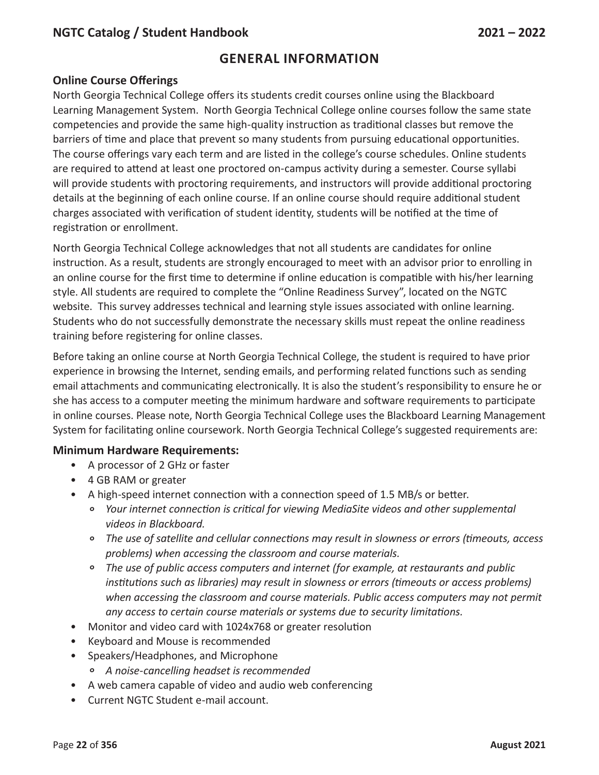#### **GENERAL INFORMATION**

#### **Online Course Offerings**

North Georgia Technical College offers its students credit courses online using the Blackboard Learning Management System. North Georgia Technical College online courses follow the same state competencies and provide the same high-quality instruction as traditional classes but remove the barriers of time and place that prevent so many students from pursuing educational opportunities. The course offerings vary each term and are listed in the college's course schedules. Online students are required to attend at least one proctored on-campus activity during a semester. Course syllabi will provide students with proctoring requirements, and instructors will provide additional proctoring details at the beginning of each online course. If an online course should require additional student charges associated with verification of student identity, students will be notified at the time of registration or enrollment.

North Georgia Technical College acknowledges that not all students are candidates for online instruction. As a result, students are strongly encouraged to meet with an advisor prior to enrolling in an online course for the first time to determine if online education is compatible with his/her learning style. All students are required to complete the "Online Readiness Survey", located on the NGTC website. This survey addresses technical and learning style issues associated with online learning. Students who do not successfully demonstrate the necessary skills must repeat the online readiness training before registering for online classes.

Before taking an online course at North Georgia Technical College, the student is required to have prior experience in browsing the Internet, sending emails, and performing related functions such as sending email attachments and communicating electronically. It is also the student's responsibility to ensure he or she has access to a computer meeting the minimum hardware and software requirements to participate in online courses. Please note, North Georgia Technical College uses the Blackboard Learning Management System for facilitating online coursework. North Georgia Technical College's suggested requirements are:

#### **Minimum Hardware Requirements:**

- A processor of 2 GHz or faster
- 4 GB RAM or greater
- A high-speed internet connection with a connection speed of 1.5 MB/s or better.
	- *° Your internet connection is critical for viewing MediaSite videos and other supplemental videos in Blackboard.*
	- *° The use of satellite and cellular connections may result in slowness or errors (timeouts, access problems) when accessing the classroom and course materials.*
	- *° The use of public access computers and internet (for example, at restaurants and public institutions such as libraries) may result in slowness or errors (timeouts or access problems) when accessing the classroom and course materials. Public access computers may not permit any access to certain course materials or systems due to security limitations.*
- Monitor and video card with 1024x768 or greater resolution
- Keyboard and Mouse is recommended
- Speakers/Headphones, and Microphone
	- *°<sup>A</sup> noise-cancelling headset is recommended*
- A web camera capable of video and audio web conferencing
- Current NGTC Student e-mail account.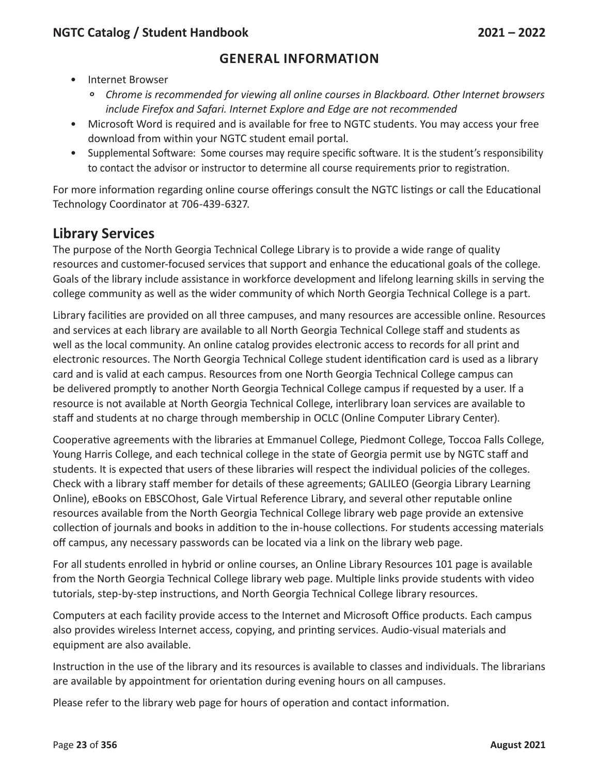- Internet Browser
	- *° Chrome is recommended for viewing all online courses in Blackboard. Other Internet browsers include Firefox and Safari. Internet Explore and Edge are not recommended*
- Microsoft Word is required and is available for free to NGTC students. You may access your free download from within your NGTC student email portal.
- Supplemental Software: Some courses may require specific software. It is the student's responsibility to contact the advisor or instructor to determine all course requirements prior to registration.

For more information regarding online course offerings consult the NGTC listings or call the Educational Technology Coordinator at 706-439-6327.

# **Library Services**

The purpose of the North Georgia Technical College Library is to provide a wide range of quality resources and customer-focused services that support and enhance the educational goals of the college. Goals of the library include assistance in workforce development and lifelong learning skills in serving the college community as well as the wider community of which North Georgia Technical College is a part.

Library facilities are provided on all three campuses, and many resources are accessible online. Resources and services at each library are available to all North Georgia Technical College staff and students as well as the local community. An online catalog provides electronic access to records for all print and electronic resources. The North Georgia Technical College student identification card is used as a library card and is valid at each campus. Resources from one North Georgia Technical College campus can be delivered promptly to another North Georgia Technical College campus if requested by a user. If a resource is not available at North Georgia Technical College, interlibrary loan services are available to staff and students at no charge through membership in OCLC (Online Computer Library Center).

Cooperative agreements with the libraries at Emmanuel College, Piedmont College, Toccoa Falls College, Young Harris College, and each technical college in the state of Georgia permit use by NGTC staff and students. It is expected that users of these libraries will respect the individual policies of the colleges. Check with a library staff member for details of these agreements; GALILEO (Georgia Library Learning Online), eBooks on EBSCOhost, Gale Virtual Reference Library, and several other reputable online resources available from the North Georgia Technical College library web page provide an extensive collection of journals and books in addition to the in-house collections. For students accessing materials off campus, any necessary passwords can be located via a link on the library web page.

For all students enrolled in hybrid or online courses, an Online Library Resources 101 page is available from the North Georgia Technical College library web page. Multiple links provide students with video tutorials, step-by-step instructions, and North Georgia Technical College library resources.

Computers at each facility provide access to the Internet and Microsoft Office products. Each campus also provides wireless Internet access, copying, and printing services. Audio-visual materials and equipment are also available.

Instruction in the use of the library and its resources is available to classes and individuals. The librarians are available by appointment for orientation during evening hours on all campuses.

Please refer to the library web page for hours of operation and contact information.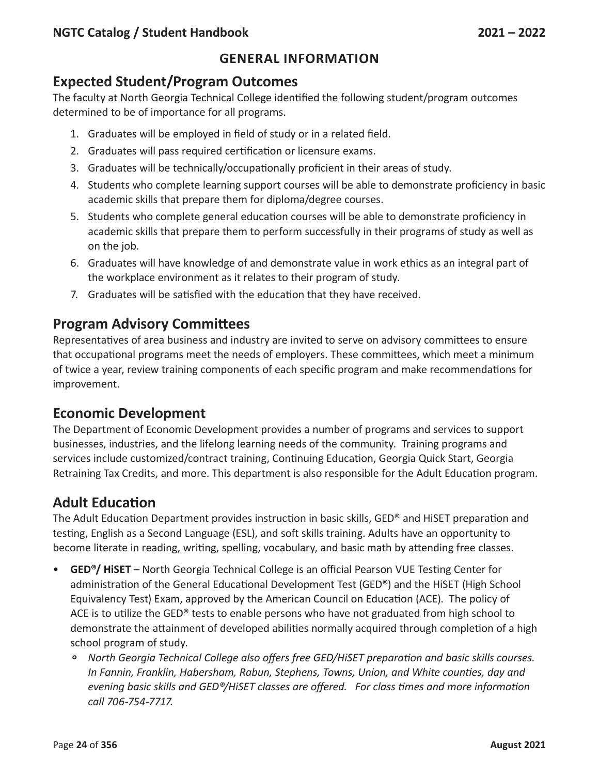# **Expected Student/Program Outcomes**

The faculty at North Georgia Technical College identified the following student/program outcomes determined to be of importance for all programs.

- 1. Graduates will be employed in field of study or in a related field.
- 2. Graduates will pass required certification or licensure exams.
- 3. Graduates will be technically/occupationally proficient in their areas of study.
- 4. Students who complete learning support courses will be able to demonstrate proficiency in basic academic skills that prepare them for diploma/degree courses.
- 5. Students who complete general education courses will be able to demonstrate proficiency in academic skills that prepare them to perform successfully in their programs of study as well as on the job.
- 6. Graduates will have knowledge of and demonstrate value in work ethics as an integral part of the workplace environment as it relates to their program of study.
- 7. Graduates will be satisfied with the education that they have received.

# **Program Advisory Committees**

Representatives of area business and industry are invited to serve on advisory committees to ensure that occupational programs meet the needs of employers. These committees, which meet a minimum of twice a year, review training components of each specific program and make recommendations for improvement.

# **Economic Development**

The Department of Economic Development provides a number of programs and services to support businesses, industries, and the lifelong learning needs of the community. Training programs and services include customized/contract training, Continuing Education, Georgia Quick Start, Georgia Retraining Tax Credits, and more. This department is also responsible for the Adult Education program.

# **Adult Education**

The Adult Education Department provides instruction in basic skills, GED® and HiSET preparation and testing, English as a Second Language (ESL), and soft skills training. Adults have an opportunity to become literate in reading, writing, spelling, vocabulary, and basic math by attending free classes.

- **GED®/ HiSET** North Georgia Technical College is an official Pearson VUE Testing Center for administration of the General Educational Development Test (GED®) and the HiSET (High School Equivalency Test) Exam, approved by the American Council on Education (ACE). The policy of ACE is to utilize the GED® tests to enable persons who have not graduated from high school to demonstrate the attainment of developed abilities normally acquired through completion of a high school program of study.
	- *° North Georgia Technical College also offers free GED/HiSET preparation and basic skills courses. In Fannin, Franklin, Habersham, Rabun, Stephens, Towns, Union, and White counties, day and evening basic skills and GED®/HiSET classes are offered. For class times and more information call 706-754-7717.*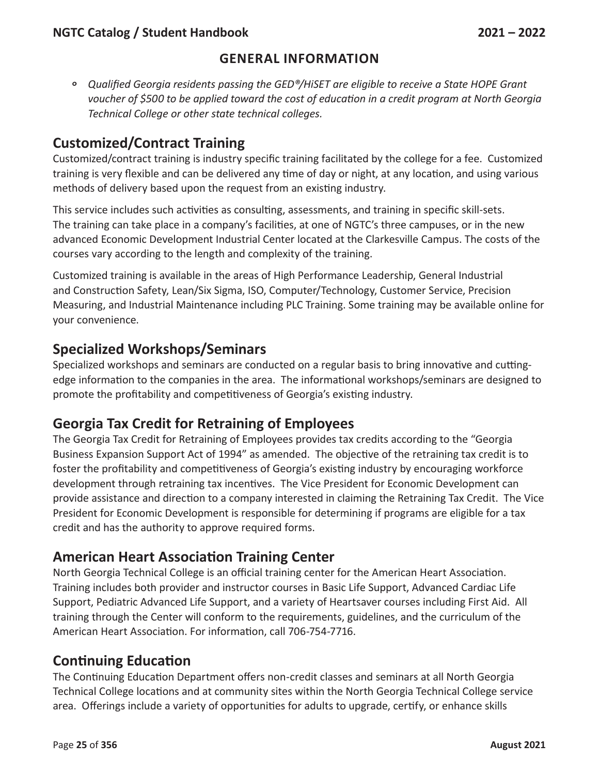*° Qualified Georgia residents passing the GED®/HiSET are eligible to receive <sup>a</sup> State HOPE Grant voucher of \$500 to be applied toward the cost of education in a credit program at North Georgia Technical College or other state technical colleges.*

# **Customized/Contract Training**

Customized/contract training is industry specific training facilitated by the college for a fee. Customized training is very flexible and can be delivered any time of day or night, at any location, and using various methods of delivery based upon the request from an existing industry.

This service includes such activities as consulting, assessments, and training in specific skill-sets. The training can take place in a company's facilities, at one of NGTC's three campuses, or in the new advanced Economic Development Industrial Center located at the Clarkesville Campus. The costs of the courses vary according to the length and complexity of the training.

Customized training is available in the areas of High Performance Leadership, General Industrial and Construction Safety, Lean/Six Sigma, ISO, Computer/Technology, Customer Service, Precision Measuring, and Industrial Maintenance including PLC Training. Some training may be available online for your convenience.

# **Specialized Workshops/Seminars**

Specialized workshops and seminars are conducted on a regular basis to bring innovative and cuttingedge information to the companies in the area. The informational workshops/seminars are designed to promote the profitability and competitiveness of Georgia's existing industry.

# **Georgia Tax Credit for Retraining of Employees**

The Georgia Tax Credit for Retraining of Employees provides tax credits according to the "Georgia Business Expansion Support Act of 1994" as amended. The objective of the retraining tax credit is to foster the profitability and competitiveness of Georgia's existing industry by encouraging workforce development through retraining tax incentives. The Vice President for Economic Development can provide assistance and direction to a company interested in claiming the Retraining Tax Credit. The Vice President for Economic Development is responsible for determining if programs are eligible for a tax credit and has the authority to approve required forms.

# **American Heart Association Training Center**

North Georgia Technical College is an official training center for the American Heart Association. Training includes both provider and instructor courses in Basic Life Support, Advanced Cardiac Life Support, Pediatric Advanced Life Support, and a variety of Heartsaver courses including First Aid. All training through the Center will conform to the requirements, guidelines, and the curriculum of the American Heart Association. For information, call 706-754-7716.

# **Continuing Education**

The Continuing Education Department offers non-credit classes and seminars at all North Georgia Technical College locations and at community sites within the North Georgia Technical College service area. Offerings include a variety of opportunities for adults to upgrade, certify, or enhance skills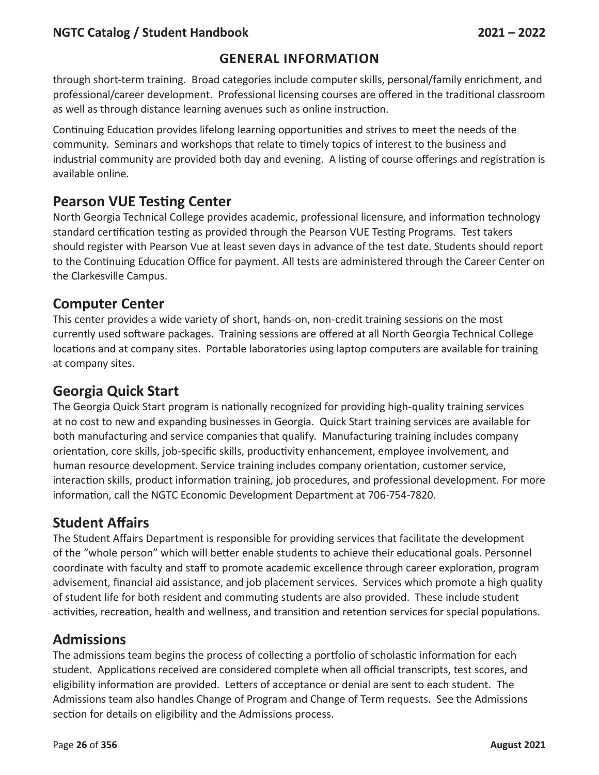#### **GENERAL INFORMATION**

through short-term training. Broad categories include computer skills, personal/family enrichment, and professional/career development. Professional licensing courses are offered in the traditional classroom as well as through distance learning avenues such as online instruction.

Continuing Education provides lifelong learning opportunities and strives to meet the needs of the community. Seminars and workshops that relate to timely topics of interest to the business and industrial community are provided both day and evening. A listing of course offerings and registration is available online.

# **Pearson VUE Testing Center**

North Georgia Technical College provides academic, professional licensure, and information technology standard certification testing as provided through the Pearson VUE Testing Programs. Test takers should register with Pearson Vue at least seven days in advance of the test date. Students should report to the Continuing Education Office for payment. All tests are administered through the Career Center on the Clarkesville Campus.

#### **Computer Center**

This center provides a wide variety of short, hands-on, non-credit training sessions on the most currently used software packages. Training sessions are offered at all North Georgia Technical College locations and at company sites. Portable laboratories using laptop computers are available for training at company sites.

# **Georgia Quick Start**

The Georgia Quick Start program is nationally recognized for providing high-quality training services at no cost to new and expanding businesses in Georgia. Quick Start training services are available for both manufacturing and service companies that qualify. Manufacturing training includes company orientation, core skills, job-specific skills, productivity enhancement, employee involvement, and human resource development. Service training includes company orientation, customer service, interaction skills, product information training, job procedures, and professional development. For more information, call the NGTC Economic Development Department at 706-754-7820.

# **Student Affairs**

The Student Affairs Department is responsible for providing services that facilitate the development of the "whole person" which will better enable students to achieve their educational goals. Personnel coordinate with faculty and staff to promote academic excellence through career exploration, program advisement, financial aid assistance, and job placement services. Services which promote a high quality of student life for both resident and commuting students are also provided. These include student activities, recreation, health and wellness, and transition and retention services for special populations.

# **Admissions**

The admissions team begins the process of collecting a portfolio of scholastic information for each student. Applications received are considered complete when all official transcripts, test scores, and eligibility information are provided. Letters of acceptance or denial are sent to each student. The Admissions team also handles Change of Program and Change of Term requests. See the Admissions section for details on eligibility and the Admissions process.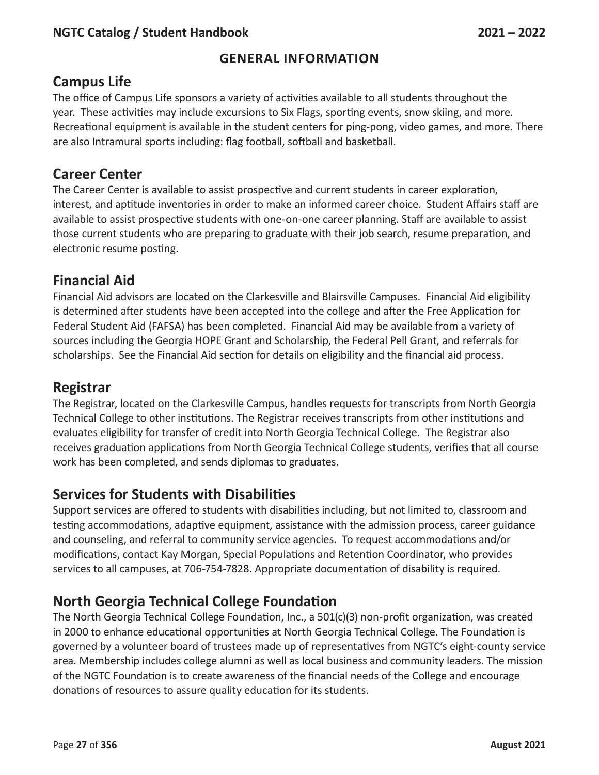# **Campus Life**

The office of Campus Life sponsors a variety of activities available to all students throughout the year. These activities may include excursions to Six Flags, sporting events, snow skiing, and more. Recreational equipment is available in the student centers for ping-pong, video games, and more. There are also Intramural sports including: flag football, softball and basketball.

# **Career Center**

The Career Center is available to assist prospective and current students in career exploration, interest, and aptitude inventories in order to make an informed career choice. Student Affairs staff are available to assist prospective students with one-on-one career planning. Staff are available to assist those current students who are preparing to graduate with their job search, resume preparation, and electronic resume posting.

# **Financial Aid**

Financial Aid advisors are located on the Clarkesville and Blairsville Campuses. Financial Aid eligibility is determined after students have been accepted into the college and after the Free Application for Federal Student Aid (FAFSA) has been completed. Financial Aid may be available from a variety of sources including the Georgia HOPE Grant and Scholarship, the Federal Pell Grant, and referrals for scholarships. See the Financial Aid section for details on eligibility and the financial aid process.

# **Registrar**

The Registrar, located on the Clarkesville Campus, handles requests for transcripts from North Georgia Technical College to other institutions. The Registrar receives transcripts from other institutions and evaluates eligibility for transfer of credit into North Georgia Technical College. The Registrar also receives graduation applications from North Georgia Technical College students, verifies that all course work has been completed, and sends diplomas to graduates.

# **Services for Students with Disabilities**

Support services are offered to students with disabilities including, but not limited to, classroom and testing accommodations, adaptive equipment, assistance with the admission process, career guidance and counseling, and referral to community service agencies. To request accommodations and/or modifications, contact Kay Morgan, Special Populations and Retention Coordinator, who provides services to all campuses, at 706-754-7828. Appropriate documentation of disability is required.

# **North Georgia Technical College Foundation**

The North Georgia Technical College Foundation, Inc., a 501(c)(3) non-profit organization, was created in 2000 to enhance educational opportunities at North Georgia Technical College. The Foundation is governed by a volunteer board of trustees made up of representatives from NGTC's eight-county service area. Membership includes college alumni as well as local business and community leaders. The mission of the NGTC Foundation is to create awareness of the financial needs of the College and encourage donations of resources to assure quality education for its students.